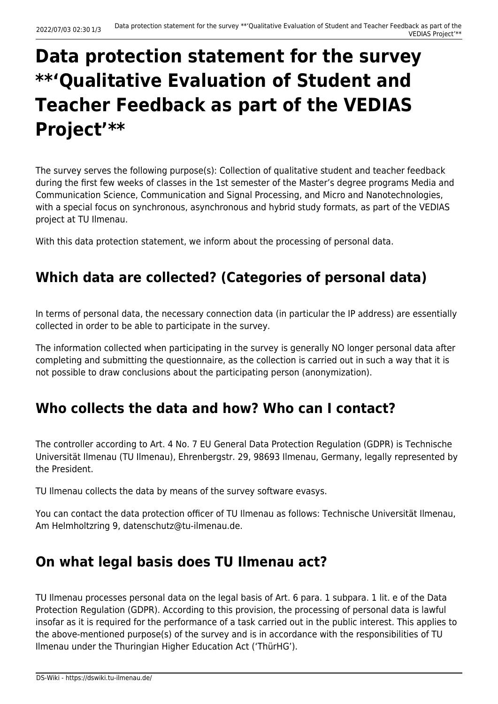# **Data protection statement for the survey \*\*'Qualitative Evaluation of Student and Teacher Feedback as part of the VEDIAS Project'\*\***

The survey serves the following purpose(s): Collection of qualitative student and teacher feedback during the first few weeks of classes in the 1st semester of the Master's degree programs Media and Communication Science, Communication and Signal Processing, and Micro and Nanotechnologies, with a special focus on synchronous, asynchronous and hybrid study formats, as part of the VEDIAS project at TU Ilmenau.

With this data protection statement, we inform about the processing of personal data.

## **Which data are collected? (Categories of personal data)**

In terms of personal data, the necessary connection data (in particular the IP address) are essentially collected in order to be able to participate in the survey.

The information collected when participating in the survey is generally NO longer personal data after completing and submitting the questionnaire, as the collection is carried out in such a way that it is not possible to draw conclusions about the participating person (anonymization).

## **Who collects the data and how? Who can I contact?**

The controller according to Art. 4 No. 7 EU General Data Protection Regulation (GDPR) is Technische Universität Ilmenau (TU Ilmenau), Ehrenbergstr. 29, 98693 Ilmenau, Germany, legally represented by the President.

TU Ilmenau collects the data by means of the survey software evasys.

You can contact the data protection officer of TU Ilmenau as follows: Technische Universität Ilmenau, Am Helmholtzring 9, datenschutz@tu-ilmenau.de.

#### **On what legal basis does TU Ilmenau act?**

TU Ilmenau processes personal data on the legal basis of Art. 6 para. 1 subpara. 1 lit. e of the Data Protection Regulation (GDPR). According to this provision, the processing of personal data is lawful insofar as it is required for the performance of a task carried out in the public interest. This applies to the above-mentioned purpose(s) of the survey and is in accordance with the responsibilities of TU Ilmenau under the Thuringian Higher Education Act ('ThürHG').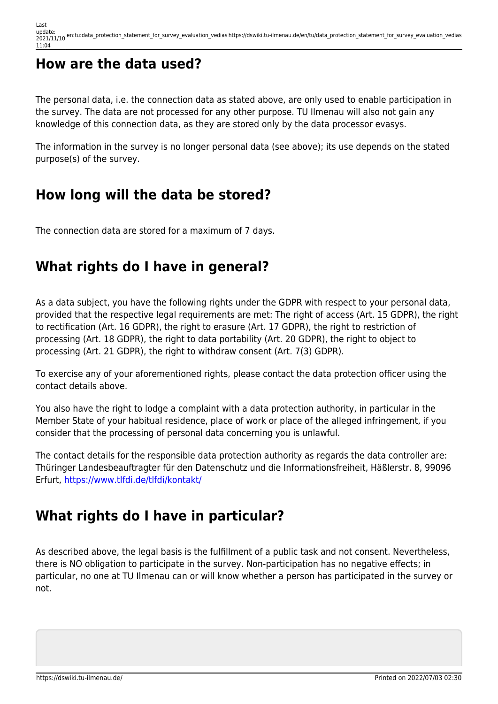## **How are the data used?**

The personal data, i.e. the connection data as stated above, are only used to enable participation in the survey. The data are not processed for any other purpose. TU Ilmenau will also not gain any knowledge of this connection data, as they are stored only by the data processor evasys.

The information in the survey is no longer personal data (see above); its use depends on the stated purpose(s) of the survey.

#### **How long will the data be stored?**

The connection data are stored for a maximum of 7 days.

## **What rights do I have in general?**

As a data subject, you have the following rights under the GDPR with respect to your personal data, provided that the respective legal requirements are met: The right of access (Art. 15 GDPR), the right to rectification (Art. 16 GDPR), the right to erasure (Art. 17 GDPR), the right to restriction of processing (Art. 18 GDPR), the right to data portability (Art. 20 GDPR), the right to object to processing (Art. 21 GDPR), the right to withdraw consent (Art. 7(3) GDPR).

To exercise any of your aforementioned rights, please contact the data protection officer using the contact details above.

You also have the right to lodge a complaint with a data protection authority, in particular in the Member State of your habitual residence, place of work or place of the alleged infringement, if you consider that the processing of personal data concerning you is unlawful.

The contact details for the responsible data protection authority as regards the data controller are: Thüringer Landesbeauftragter für den Datenschutz und die Informationsfreiheit, Häßlerstr. 8, 99096 Erfurt, <https://www.tlfdi.de/tlfdi/kontakt/>

## **What rights do I have in particular?**

As described above, the legal basis is the fulfillment of a public task and not consent. Nevertheless, there is NO obligation to participate in the survey. Non-participation has no negative effects; in particular, no one at TU Ilmenau can or will know whether a person has participated in the survey or not.